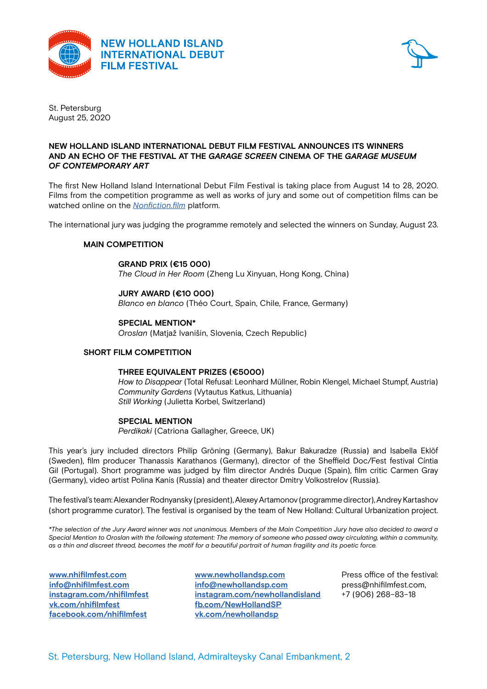



St. Petersburg August 25, 2020

### **NEW HOLLAND ISLAND INTERNATIONAL DEBUT FILM FESTIVAL ANNOUNCES ITS WINNERS NEW HOLLAND ISLAND INTERNATIONAL DEBUT FILM FESTIVAL** AND AN ECHO OF THE FESTIVAL AT THE *GARAGE SCREEN* CINEMA OF THE *GARAGE MUSEUM OF CONTEMPORARY ART*

The first New Holland Island International Debut Film Festival is taking place from August 14 to 28, 2020. Films from the competition programme as well as works of jury and some out of competition films can be watched online on the <u>[Nonfiction.film](http://Nonfiction.film)</u> platform. The first New Holland Island International Debut Film Festival is taking place from August

The international jury was judging the programme remotely and selected the winners on Sunday, August 23. mo incorporational jary mas jaaging the programme remotely and eclected the minicipal context.

#### **MAIN COMPETITION** president of the New Holland Island International Debut Film Festival is Alexander Rodnyansky, one of the

### $$

The Cloud in Her Room (Zheng Lu Xinyuan, Hong Kong, China) Mikhail Levitin Prize for film critics of Russia (2015).

# **JURY AWARD (€10 000) COMPETITION programme entries of the festival will be just an international jury which international jury which international jury which international jury which international jury which internatio**

**BLAT AWARD (CTO OOO)**<br>Blanco en blanco (Théo Court, Spain, Chile, France, Germany) Bidnco en bidnco (Theo Court, Spain, Chile, France, Germany)

## **SPECIAL MENTION\* The films are accepted in the international competition for feature films are accepted in the international competition for feature films are accepted in the international competition for feature films**

*Oroslan* (Matjaž Ivanišin, Slovenia, Czech Republic) duration of up to 45  $\mu$  and 2019 by directors who have not made the influence debuts, who have not made the influence debuts, who have not made the influence debuts, who have not made the influence debuts, where  $\mu$ 

#### SHORT FILM COMPETITION **FOR SHORT FILMS** an application on **nhifilmfest.com** website. The festival programme will be announced in June.

### $\tt{THREE EQUIVALENT PRIZES}$  ( $\epsilon$ 5000) Besides all the preparations for the main events of the year, the New Holland Island International

*How to Disappear (T*otal Refusal: Leonhard Müllner, Robin Klengel, Michael Stumpf, Austria) Community Gardens (Vytautus Katkus, Lithuania) **Still Working (Julietta Korbel, Switzerland)** The new season of the educational programme will open on **February 8** at 6 pm with an event

#### **SPECIAL MENTION SPECIAL SCREENING SCREENING SCREENING SCREENING SCREENING SCREENING SCREENING SCREENING OF HIS EARLY FILM SCREENING SCREENING SCREENING SCREENING SCREENING SCREENING SCREENING SCREENING SCREENING SCREENI** with the German director **Philip Gröning**, professor of the Cologne International Film School, winner of

*Perdikaki* (Catriona Gallagher, Greece, UK)

This year's jury included directors Philip Gröning (Germany), Bakur Bakuradze (Russia) and Isabella Eklöf (Sweden), film producer Thanassis Karathanos (Germany), director of the Sheffield Doc/Fest festival Cíntia Gil (Portugal). Short programme was judged by film director Andrés Duque (Spain), film critic Carmen Gray (Germany), video artist Polina Kanis (Russia) and theater director Dmitry Volkostrelov (Russia).

The festival's team: Alexander Rodnyansky (president), Alexey Artamonov (programme director), Andrey Kartashov (short programme curator). The festival is organised by the team of New Holland: Cultural Urbanization project.

*\*The selection of the Jury Award winner was not unanimous. Members of the Main Competition Jury have also decided to award a Special Mention to Oroslan with the following statement: The memory of someone who passed away circulating, within a community, as a thin and discreet thread, becomes the motif for a beautiful portrait of human fragility and its poetic force.*

**[www.nhifilmfest.com](http://www.nhifilmfest.com) [info@nhifilmfest.com](mailto:info@nhifilmfest.com ) [instagram.com/nhifilmfest](http://instagram.com/nhifilmfest) [vk.com/nhifilmfest](http://vk.com/nhifilmfest) [facebook.com/nhifilmfest](http://facebook.com/nhifilmfest)**

**[www.newhollandsp.com](http://www.newhollandsp.com) [info@newhollandsp.com](mailto:info@newhollandsp.com) [instagram.com/newhollandisland](http://instagram.com/newhollandisland) [fb.com/NewHollandSP](http://fb.com/NewHollandSP ) [vk.com/newhollandsp](http://vk.com/newhollandsp)**

Press office of the festival: press@nhifilmfest.com, +7 (906) 268–83–18

St. Petersburg, New Holland Island, Admiralteysky Canal Embankment, 2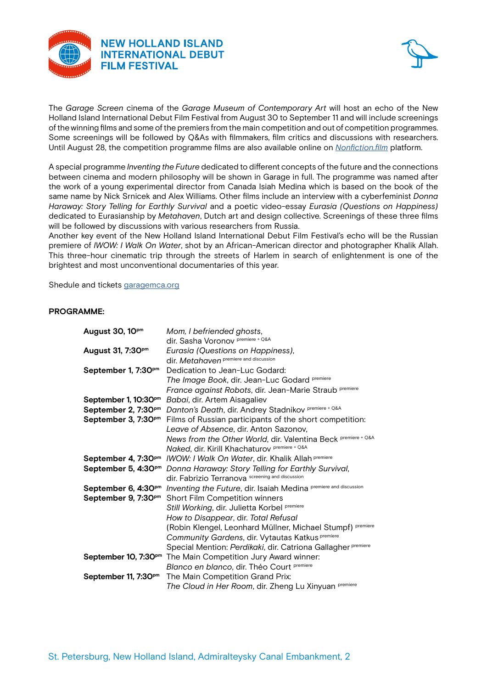



The *Garage Screen* cinema of the *Garage Museum of Contemporary Art* will host an echo of the New Holland Island International Debut Film Festival from August 30 to September 11 and will include screenings of the winning films and some of the premiers from the main competition and out of competition programmes. Some screenings will be followed by Q&As with filmmakers, film critics and discussions with researchers. Until August 28, the competition programme films are also available online on *[Nonfiction.film](http://Nonfiction.film)* platform.  $\frac{1}{2}$ February 5, 2020 **ANNOUNCES ITS 2020 DATES**

A special programme *Inventing the Future* dedicated to different concepts of the future and the connections between cinema and modern philosophy will be shown in Garage in full. The programme was named after the work of a young experimental director from Canada Isiah Medina which is based on the book of the same name by Nick Srnicek and Alex Williams. Other films include an interview with a cyberfeminist *Donna* Haraway: Story Telling for Earthly Survival and a poetic video-essay Eurasia (Questions on Happiness) dedicated to Eurasianship by Metahaven, Dutch art and design collective. Screenings of these three films abdibated to Europan implementation, Baten art and dought concentre coreonings of the will be followed by discussions with various researchers from Russia. mission is to support unique cinematic visitors and incorporate new names in the world context. The world context world context. The world context world context. The world context world context. The world context world con

Another key event of the New Holland Island International Debut Film Festival's echo will be the Russian premiere of *IWOW: I Walk On Water*, shot by an African-American director and photographer Khalik Allah. This three-hour cinematic trip through the streets of Harlem in search of enlightenment is one of the brightest and most unconventional documentaries of this year.  $s$ lected by Andrey Kartashov, film critic, author of Russian and foreign cinema publications, winner of the theoretic, winner of the theoretic, winner of the theoretications, winner of the theoretications, winner of the

Shedule and tickets [garagemca.org](http://garagemca.org) Fand tickets <u>garagemea.org</u>

#### **PROGRAMME:** consist of an international competition for both feature and short films. Applications for participation in the participation in the participation in the participation in the participation in the participation in the part competition programme will continue to be accepted until  $\mathcal{A}$  and  $\mathcal{A}$  and  $\mathcal{A}$  and  $\mathcal{A}$  are accepted until  $\mathcal{A}$  and  $\mathcal{A}$  are accepted until  $\mathcal{A}$  and  $\mathcal{A}$  are accepted until  $\mathcal{A}$  and  $\math$

| August 30, 10pm                  | Mom, I befriended ghosts,                                                                               |
|----------------------------------|---------------------------------------------------------------------------------------------------------|
|                                  | dir. Sasha Voronov Premiere + Q&A                                                                       |
| August 31, 7:30 <sup>pm</sup>    | Eurasia (Questions on Happiness),                                                                       |
|                                  | dir. Metahaven premiere and discussion                                                                  |
| September 1, 7:30 <sup>pm</sup>  | Dedication to Jean-Luc Godard:                                                                          |
|                                  | The Image Book, dir. Jean-Luc Godard Premiere                                                           |
|                                  | France against Robots, dir. Jean-Marie Straub premiere                                                  |
|                                  | September 1, 10:30 <sup>pm</sup> Babai, dir. Artem Aisagaliev                                           |
|                                  | September 2, 7:30 <sup>pm</sup> Danton's Death, dir. Andrey Stadnikov Premiere + Q&A                    |
|                                  | September 3, 7:30 <sup>pm</sup> Films of Russian participants of the short competition:                 |
|                                  | Leave of Absence, dir. Anton Sazonov,                                                                   |
|                                  | News from the Other World, dir. Valentina Beck premiere + Q&A                                           |
|                                  | Naked, dir. Kirill Khachaturov Premiere + Q&A                                                           |
|                                  | September 4, 7:30 <sup>pm</sup> /WOW: / Walk On Water, dir. Khalik Allah Premiere                       |
|                                  | September 5, 4:30 <sup>pm</sup> Donna Haraway: Story Telling for Earthly Survival,                      |
|                                  | dir. Fabrizio Terranova screening and discussion                                                        |
|                                  | September 6, 4:30 <sup>pm</sup> Inventing the Future, dir. Isaiah Medina <i>premiere and discussion</i> |
|                                  | September 9, 7:30 <sup>pm</sup> Short Film Competition winners                                          |
|                                  | Still Working, dir. Julietta Korbel Premiere                                                            |
|                                  | How to Disappear, dir. Total Refusal                                                                    |
|                                  | (Robin Klengel, Leonhard Müllner, Michael Stumpf) premiere                                              |
|                                  | Community Gardens, dir. Vytautas Katkus Premiere                                                        |
|                                  | Special Mention: Perdikaki, dir. Catriona Gallagher premiere                                            |
|                                  | September 10, 7:30 <sup>pm</sup> The Main Competition Jury Award winner:                                |
|                                  | Blanco en blanco, dir. Théo Court Premiere                                                              |
| September 11, 7:30 <sup>pm</sup> | The Main Competition Grand Prix:                                                                        |
|                                  | The Cloud in Her Room, dir. Zheng Lu Xinyuan Premiere                                                   |